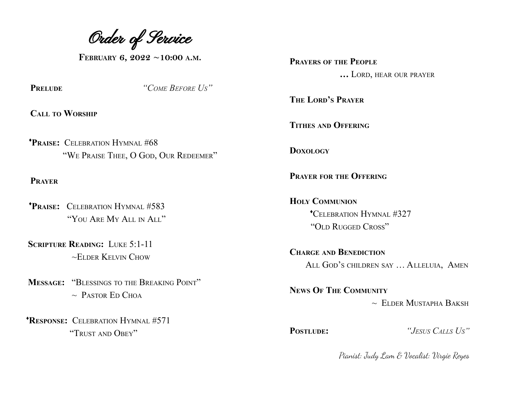Order of Service

**FEBRUARY 6, 2022 ~10:00 <sup>A</sup>.M.**

**PRELUDE** *"COME BEFORE US"*

**CALL TO WORSHIP**

♦**PRAISE:** CELEBRATION HYMNAL #68 "WE PRAISE THEE, O GOD, OUR REDEEMER"

**PRAYER**

- ♦**PRAISE:** CELEBRATION HYMNAL #583 "YOU ARE MY ALL IN ALL"
- **SCRIPTURE READING:** LUKE 5:1-11  $\sim$ ELDER KELVIN CHOW
- **MESSAGE:** "BLESSINGS TO THE BREAKING POINT"  $\sim$  Pastor Ed Choa

♦**RESPONSE:** CELEBRATION HYMNAL #571 "TRUST AND OBEY"

**PRAYERS OF THE PEOPLE …** LORD, HEAR OUR PRAYER

**THE LORD'S PRAYER**

**TITHES AND OFFERING**

**DOXOLOGY**

**PRAYER FOR THE OFFERING**

**HOLY COMMUNION** ♦CELEBRATION HYMNAL #327 "OLD RUGGED CROSS"

**CHARGE AND BENEDICTION** ALL GOD'S CHILDREN SAY … ALLELUIA, AMEN

**NEWS OF THE COMMUNITY**  $\sim$  Elder Mustapha Baksh

**POSTLUDE:** *"JESUS CALLS US"*

Pianist: Judy Lam & Vocalist: Virgie Reyes